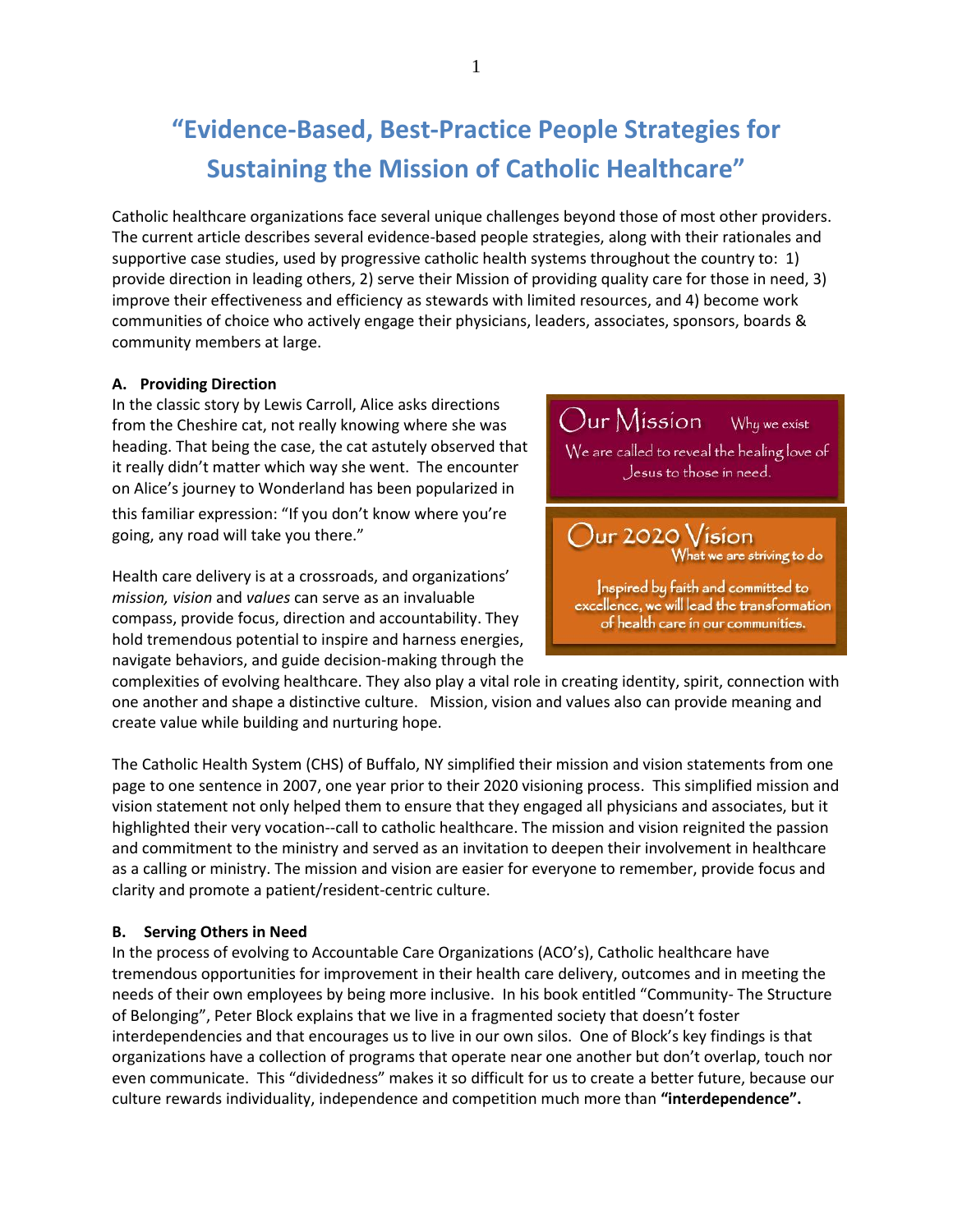## **"Evidence-Based, Best-Practice People Strategies for Sustaining the Mission of Catholic Healthcare"**

Catholic healthcare organizations face several unique challenges beyond those of most other providers. The current article describes several evidence-based people strategies, along with their rationales and supportive case studies, used by progressive catholic health systems throughout the country to: 1) provide direction in leading others, 2) serve their Mission of providing quality care for those in need, 3) improve their effectiveness and efficiency as stewards with limited resources, and 4) become work communities of choice who actively engage their physicians, leaders, associates, sponsors, boards & community members at large.

### **A. Providing Direction**

In the classic story by Lewis Carroll, Alice asks directions from the Cheshire cat, not really knowing where she was heading. That being the case, the cat astutely observed that it really didn't matter which way she went. The encounter on Alice's journey to Wonderland has been popularized in

this familiar expression: "If you don't know where you're going, any road will take you there."

Health care delivery is at a crossroads, and organizations' *mission, vision* and *values* can serve as an invaluable compass, provide focus, direction and accountability. They hold tremendous potential to inspire and harness energies, navigate behaviors, and guide decision-making through the



complexities of evolving healthcare. They also play a vital role in creating identity, spirit, connection with one another and shape a distinctive culture. Mission, vision and values also can provide meaning and create value while building and nurturing hope.

The Catholic Health System (CHS) of Buffalo, NY simplified their mission and vision statements from one page to one sentence in 2007, one year prior to their 2020 visioning process. This simplified mission and vision statement not only helped them to ensure that they engaged all physicians and associates, but it highlighted their very vocation--call to catholic healthcare. The mission and vision reignited the passion and commitment to the ministry and served as an invitation to deepen their involvement in healthcare as a calling or ministry. The mission and vision are easier for everyone to remember, provide focus and clarity and promote a patient/resident-centric culture.

### **B. Serving Others in Need**

In the process of evolving to Accountable Care Organizations (ACO's), Catholic healthcare have tremendous opportunities for improvement in their health care delivery, outcomes and in meeting the needs of their own employees by being more inclusive. In his book entitled "Community- The Structure of Belonging", Peter Block explains that we live in a fragmented society that doesn't foster interdependencies and that encourages us to live in our own silos. One of Block's key findings is that organizations have a collection of programs that operate near one another but don't overlap, touch nor even communicate. This "dividedness" makes it so difficult for us to create a better future, because our culture rewards individuality, independence and competition much more than **"interdependence".**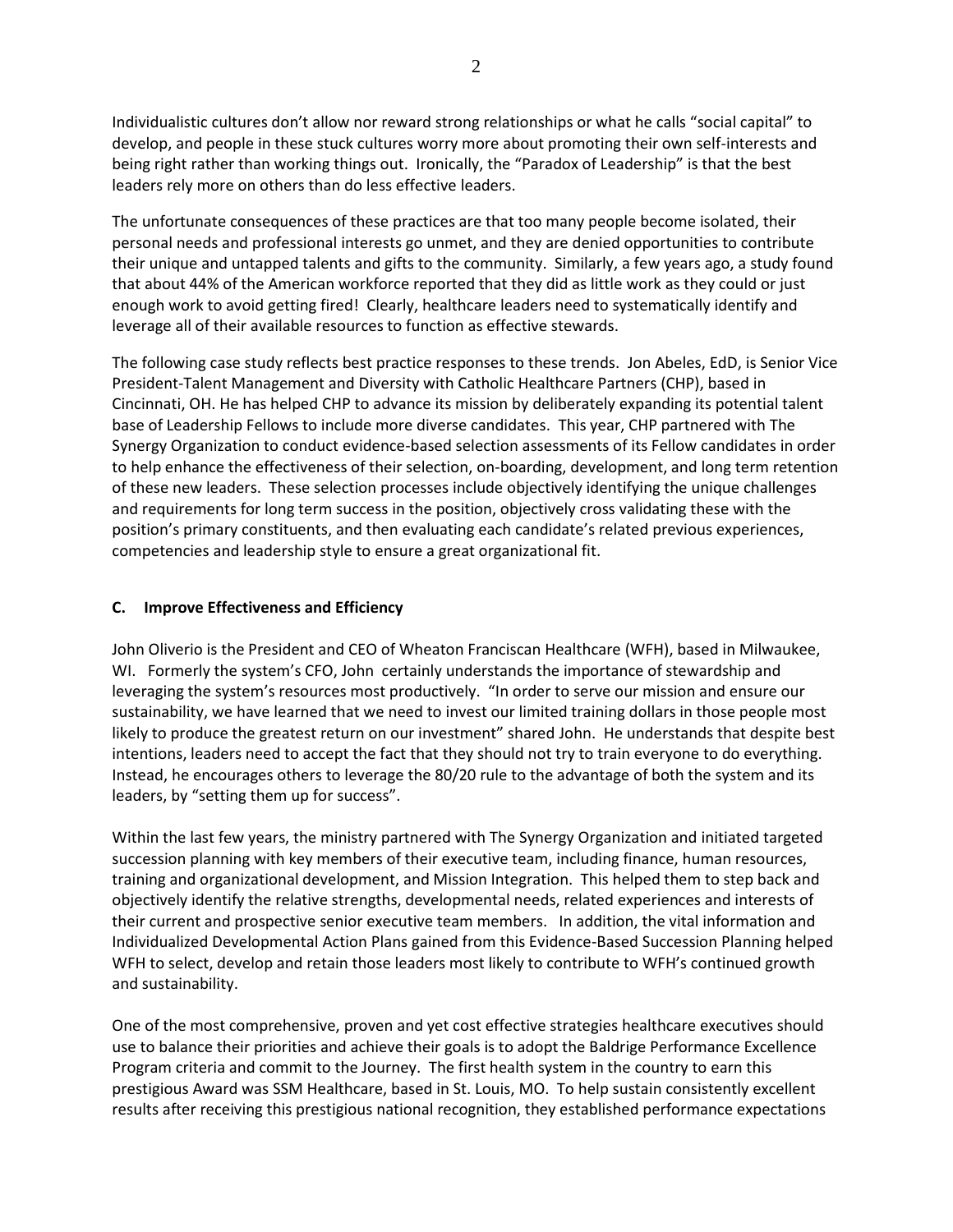Individualistic cultures don't allow nor reward strong relationships or what he calls "social capital" to develop, and people in these stuck cultures worry more about promoting their own self-interests and being right rather than working things out. Ironically, the "Paradox of Leadership" is that the best leaders rely more on others than do less effective leaders.

The unfortunate consequences of these practices are that too many people become isolated, their personal needs and professional interests go unmet, and they are denied opportunities to contribute their unique and untapped talents and gifts to the community. Similarly, a few years ago, a study found that about 44% of the American workforce reported that they did as little work as they could or just enough work to avoid getting fired! Clearly, healthcare leaders need to systematically identify and leverage all of their available resources to function as effective stewards.

The following case study reflects best practice responses to these trends. Jon Abeles, EdD, is Senior Vice President-Talent Management and Diversity with Catholic Healthcare Partners (CHP), based in Cincinnati, OH. He has helped CHP to advance its mission by deliberately expanding its potential talent base of Leadership Fellows to include more diverse candidates. This year, CHP partnered with The Synergy Organization to conduct evidence-based selection assessments of its Fellow candidates in order to help enhance the effectiveness of their selection, on-boarding, development, and long term retention of these new leaders. These selection processes include objectively identifying the unique challenges and requirements for long term success in the position, objectively cross validating these with the position's primary constituents, and then evaluating each candidate's related previous experiences, competencies and leadership style to ensure a great organizational fit.

### **C. Improve Effectiveness and Efficiency**

John Oliverio is the President and CEO of Wheaton Franciscan Healthcare (WFH), based in Milwaukee, WI. Formerly the system's CFO, John certainly understands the importance of stewardship and leveraging the system's resources most productively. "In order to serve our mission and ensure our sustainability, we have learned that we need to invest our limited training dollars in those people most likely to produce the greatest return on our investment" shared John. He understands that despite best intentions, leaders need to accept the fact that they should not try to train everyone to do everything. Instead, he encourages others to leverage the 80/20 rule to the advantage of both the system and its leaders, by "setting them up for success".

Within the last few years, the ministry partnered with The Synergy Organization and initiated targeted succession planning with key members of their executive team, including finance, human resources, training and organizational development, and Mission Integration. This helped them to step back and objectively identify the relative strengths, developmental needs, related experiences and interests of their current and prospective senior executive team members. In addition, the vital information and Individualized Developmental Action Plans gained from this Evidence-Based Succession Planning helped WFH to select, develop and retain those leaders most likely to contribute to WFH's continued growth and sustainability.

One of the most comprehensive, proven and yet cost effective strategies healthcare executives should use to balance their priorities and achieve their goals is to adopt the Baldrige Performance Excellence Program criteria and commit to the Journey. The first health system in the country to earn this prestigious Award was SSM Healthcare, based in St. Louis, MO. To help sustain consistently excellent results after receiving this prestigious national recognition, they established performance expectations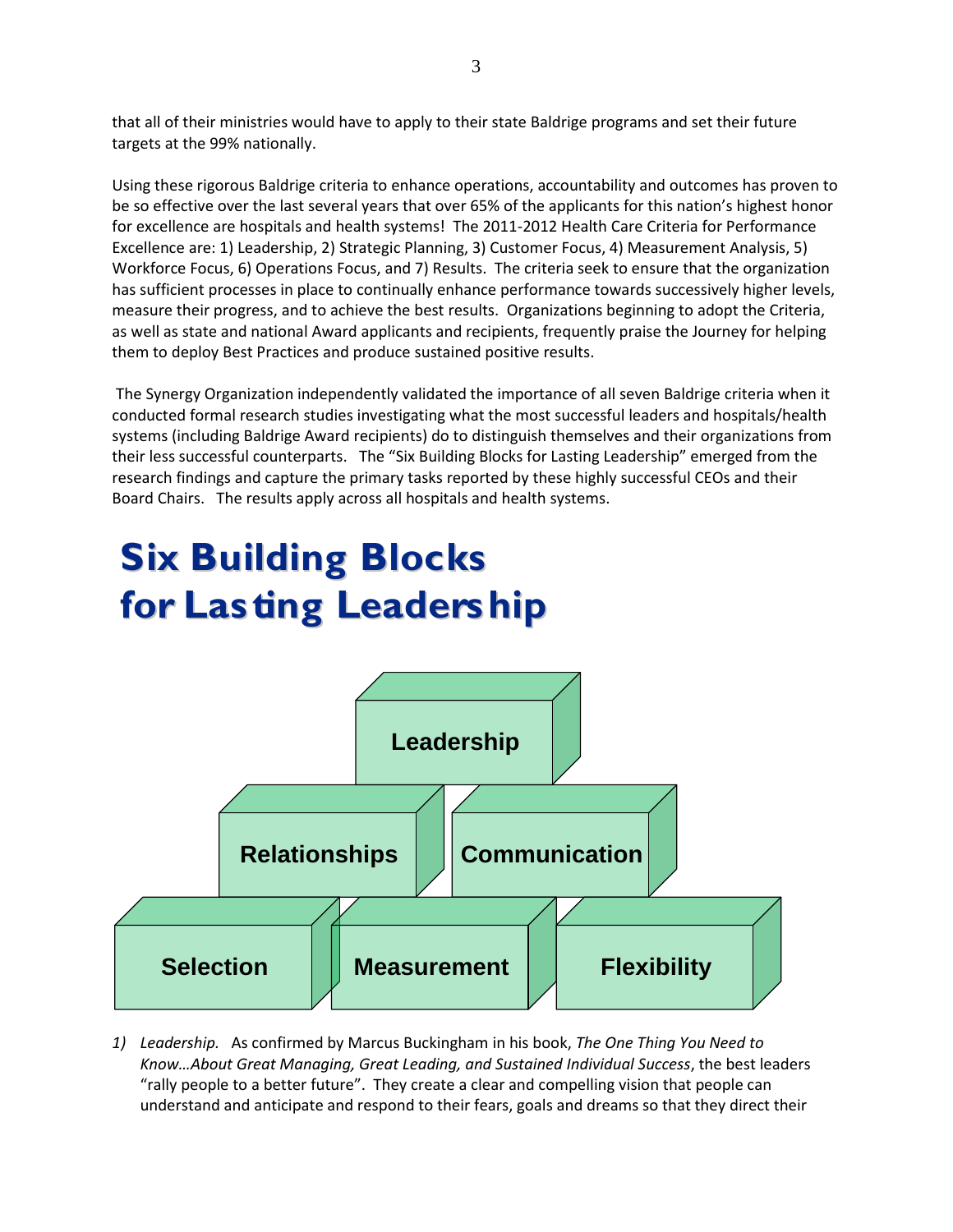that all of their ministries would have to apply to their state Baldrige programs and set their future targets at the 99% nationally.

Using these rigorous Baldrige criteria to enhance operations, accountability and outcomes has proven to be so effective over the last several years that over 65% of the applicants for this nation's highest honor for excellence are hospitals and health systems! The 2011-2012 Health Care Criteria for Performance Excellence are: 1) Leadership, 2) Strategic Planning, 3) Customer Focus, 4) Measurement Analysis, 5) Workforce Focus, 6) Operations Focus, and 7) Results. The criteria seek to ensure that the organization has sufficient processes in place to continually enhance performance towards successively higher levels, measure their progress, and to achieve the best results. Organizations beginning to adopt the Criteria, as well as state and national Award applicants and recipients, frequently praise the Journey for helping them to deploy Best Practices and produce sustained positive results.

The Synergy Organization independently validated the importance of all seven Baldrige criteria when it conducted formal research studies investigating what the most successful leaders and hospitals/health systems (including Baldrige Award recipients) do to distinguish themselves and their organizations from their less successful counterparts. The "Six Building Blocks for Lasting Leadership" emerged from the research findings and capture the primary tasks reported by these highly successful CEOs and their Board Chairs. The results apply across all hospitals and health systems.

# **Six Building Blocks for Lasting Leadership**



*1) Leadership.* As confirmed by Marcus Buckingham in his book, *The One Thing You Need to Know…About Great Managing, Great Leading, and Sustained Individual Success*, the best leaders "rally people to a better future". They create a clear and compelling vision that people can understand and anticipate and respond to their fears, goals and dreams so that they direct their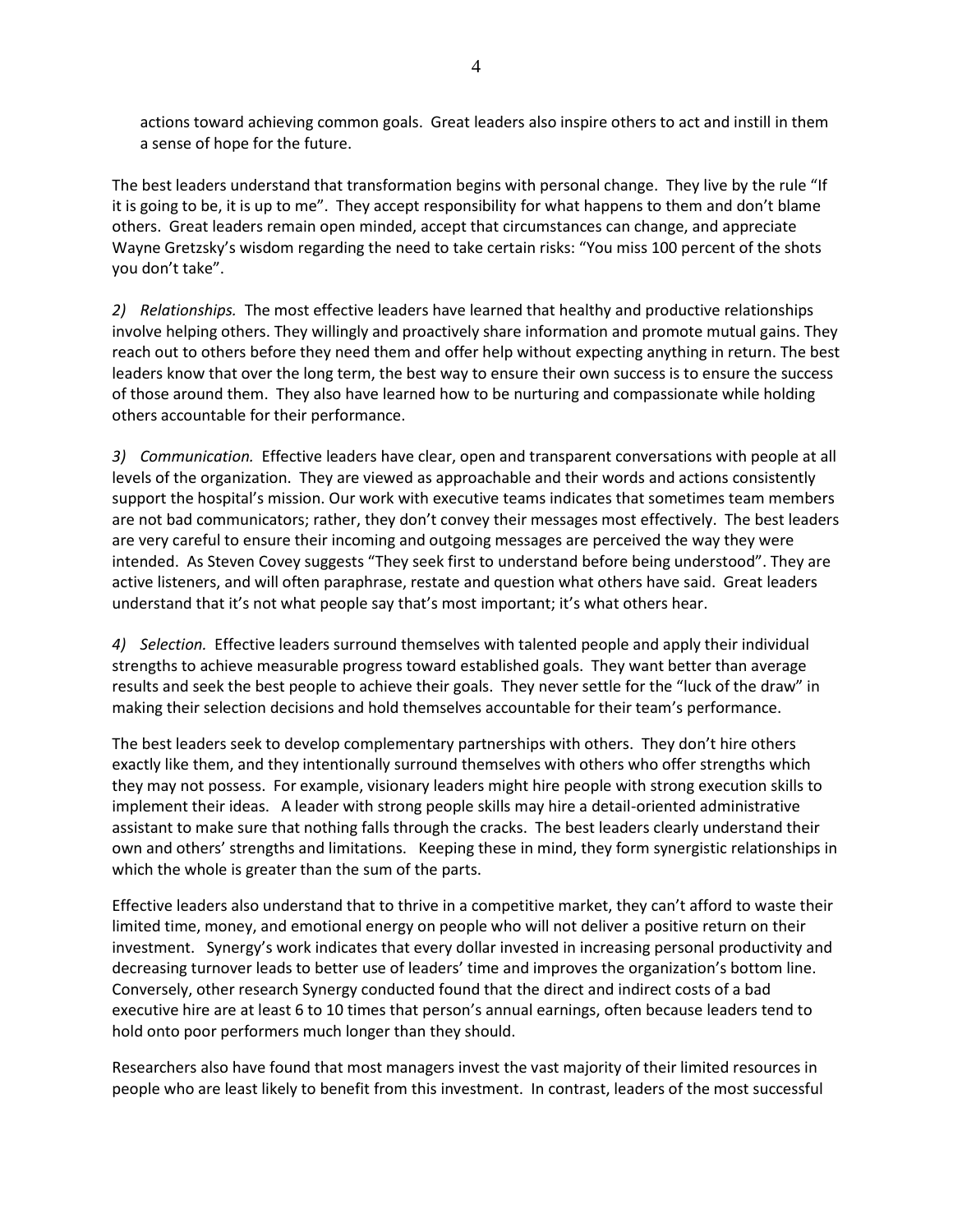actions toward achieving common goals. Great leaders also inspire others to act and instill in them a sense of hope for the future.

The best leaders understand that transformation begins with personal change. They live by the rule "If it is going to be, it is up to me". They accept responsibility for what happens to them and don't blame others. Great leaders remain open minded, accept that circumstances can change, and appreciate Wayne Gretzsky's wisdom regarding the need to take certain risks: "You miss 100 percent of the shots you don't take".

*2) Relationships.* The most effective leaders have learned that healthy and productive relationships involve helping others. They willingly and proactively share information and promote mutual gains. They reach out to others before they need them and offer help without expecting anything in return. The best leaders know that over the long term, the best way to ensure their own success is to ensure the success of those around them. They also have learned how to be nurturing and compassionate while holding others accountable for their performance.

*3) Communication.* Effective leaders have clear, open and transparent conversations with people at all levels of the organization. They are viewed as approachable and their words and actions consistently support the hospital's mission. Our work with executive teams indicates that sometimes team members are not bad communicators; rather, they don't convey their messages most effectively. The best leaders are very careful to ensure their incoming and outgoing messages are perceived the way they were intended. As Steven Covey suggests "They seek first to understand before being understood". They are active listeners, and will often paraphrase, restate and question what others have said. Great leaders understand that it's not what people say that's most important; it's what others hear.

*4) Selection.* Effective leaders surround themselves with talented people and apply their individual strengths to achieve measurable progress toward established goals. They want better than average results and seek the best people to achieve their goals. They never settle for the "luck of the draw" in making their selection decisions and hold themselves accountable for their team's performance.

The best leaders seek to develop complementary partnerships with others. They don't hire others exactly like them, and they intentionally surround themselves with others who offer strengths which they may not possess. For example, visionary leaders might hire people with strong execution skills to implement their ideas. A leader with strong people skills may hire a detail-oriented administrative assistant to make sure that nothing falls through the cracks. The best leaders clearly understand their own and others' strengths and limitations. Keeping these in mind, they form synergistic relationships in which the whole is greater than the sum of the parts.

Effective leaders also understand that to thrive in a competitive market, they can't afford to waste their limited time, money, and emotional energy on people who will not deliver a positive return on their investment. Synergy's work indicates that every dollar invested in increasing personal productivity and decreasing turnover leads to better use of leaders' time and improves the organization's bottom line. Conversely, other research Synergy conducted found that the direct and indirect costs of a bad executive hire are at least 6 to 10 times that person's annual earnings, often because leaders tend to hold onto poor performers much longer than they should.

Researchers also have found that most managers invest the vast majority of their limited resources in people who are least likely to benefit from this investment. In contrast, leaders of the most successful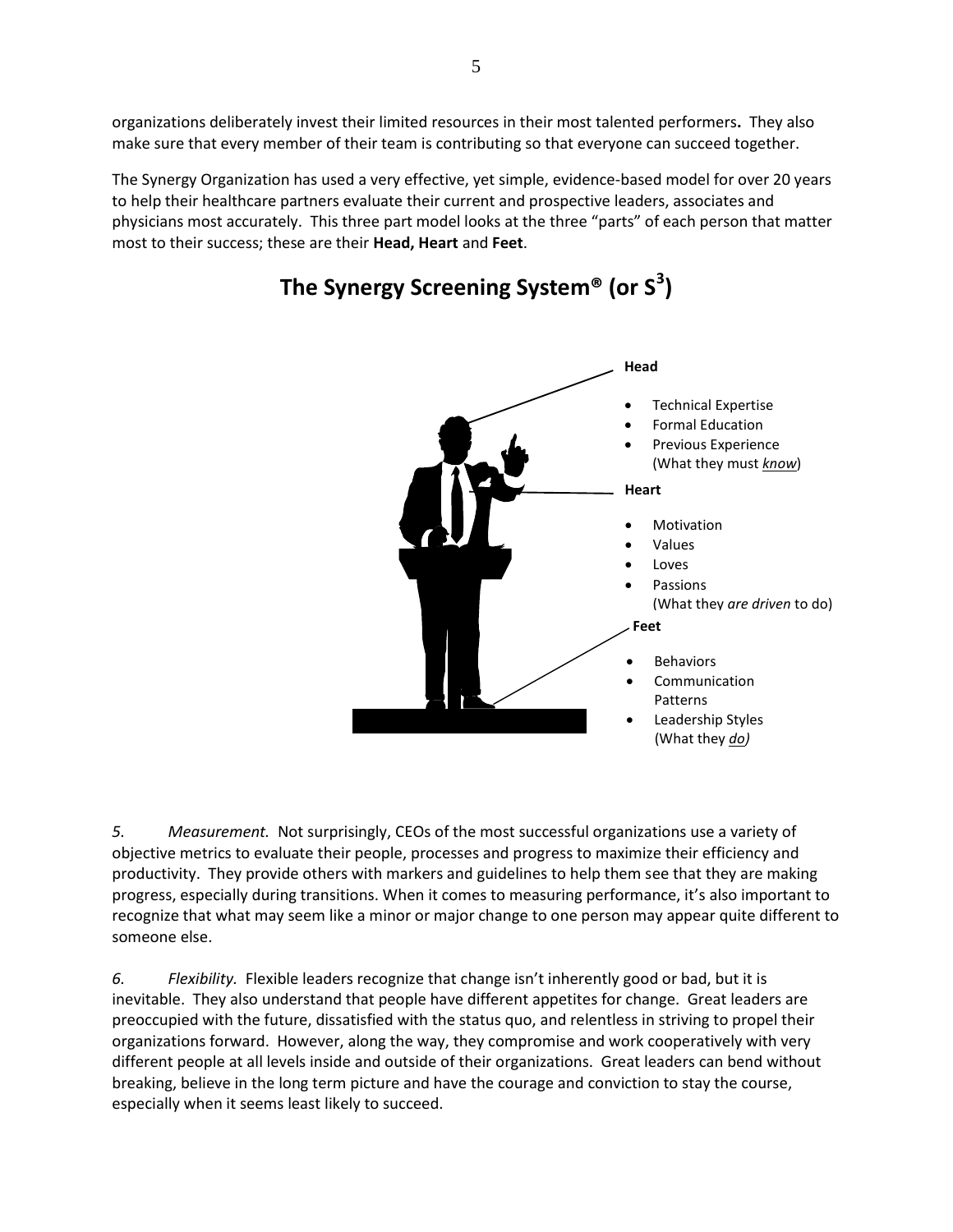organizations deliberately invest their limited resources in their most talented performers**.** They also make sure that every member of their team is contributing so that everyone can succeed together.

The Synergy Organization has used a very effective, yet simple, evidence-based model for over 20 years to help their healthcare partners evaluate their current and prospective leaders, associates and physicians most accurately. This three part model looks at the three "parts" of each person that matter most to their success; these are their **Head, Heart** and **Feet**.



## **The Synergy Screening System® (or S<sup>3</sup> )**

*5. Measurement.* Not surprisingly, CEOs of the most successful organizations use a variety of objective metrics to evaluate their people, processes and progress to maximize their efficiency and productivity. They provide others with markers and guidelines to help them see that they are making progress, especially during transitions. When it comes to measuring performance, it's also important to recognize that what may seem like a minor or major change to one person may appear quite different to someone else.

*6. Flexibility.* Flexible leaders recognize that change isn't inherently good or bad, but it is inevitable. They also understand that people have different appetites for change. Great leaders are preoccupied with the future, dissatisfied with the status quo, and relentless in striving to propel their organizations forward. However, along the way, they compromise and work cooperatively with very different people at all levels inside and outside of their organizations. Great leaders can bend without breaking, believe in the long term picture and have the courage and conviction to stay the course, especially when it seems least likely to succeed.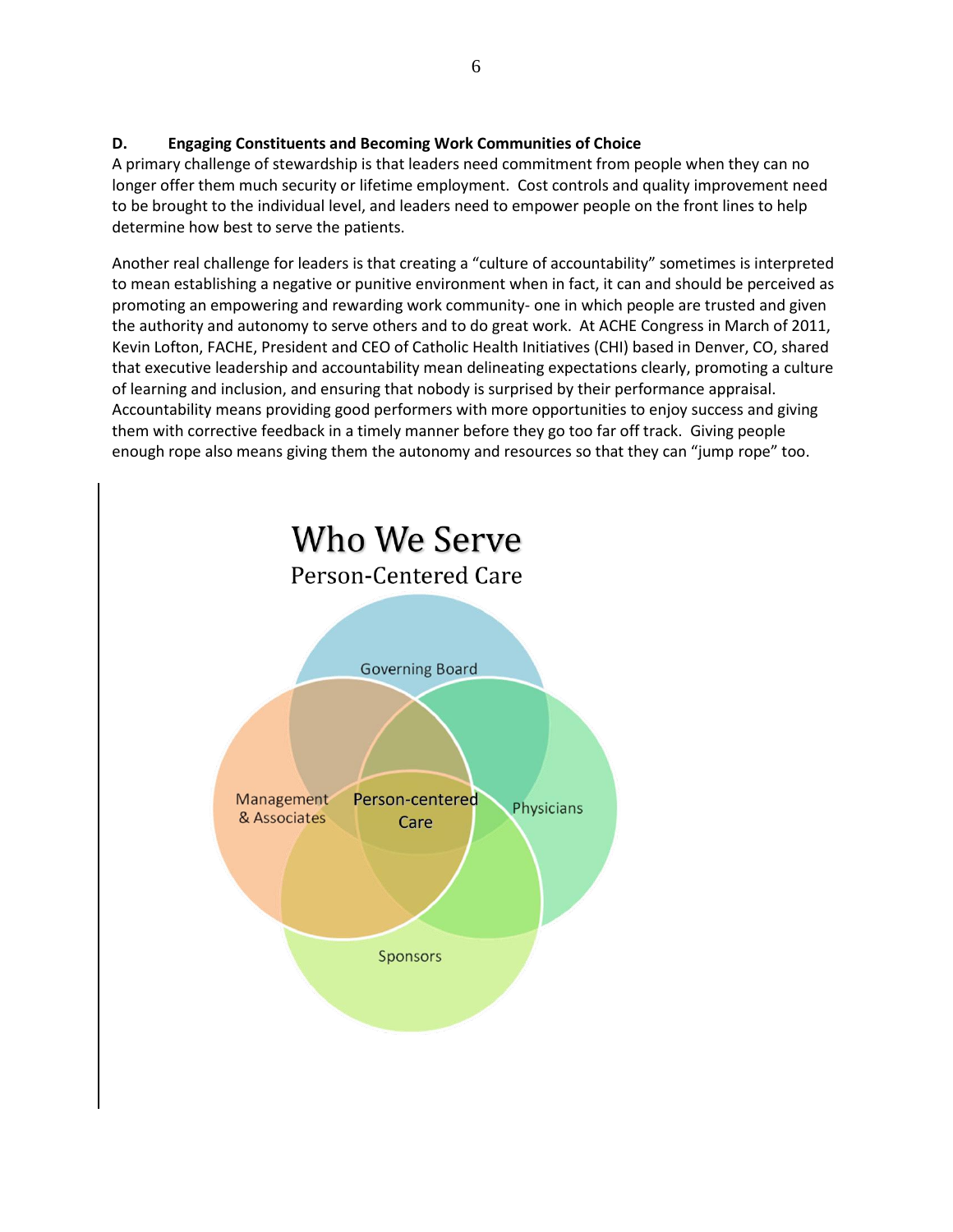### **D. Engaging Constituents and Becoming Work Communities of Choice**

A primary challenge of stewardship is that leaders need commitment from people when they can no longer offer them much security or lifetime employment. Cost controls and quality improvement need to be brought to the individual level, and leaders need to empower people on the front lines to help determine how best to serve the patients.

Another real challenge for leaders is that creating a "culture of accountability" sometimes is interpreted to mean establishing a negative or punitive environment when in fact, it can and should be perceived as promoting an empowering and rewarding work community- one in which people are trusted and given the authority and autonomy to serve others and to do great work. At ACHE Congress in March of 2011, Kevin Lofton, FACHE, President and CEO of Catholic Health Initiatives (CHI) based in Denver, CO, shared that executive leadership and accountability mean delineating expectations clearly, promoting a culture of learning and inclusion, and ensuring that nobody is surprised by their performance appraisal. Accountability means providing good performers with more opportunities to enjoy success and giving them with corrective feedback in a timely manner before they go too far off track. Giving people enough rope also means giving them the autonomy and resources so that they can "jump rope" too.